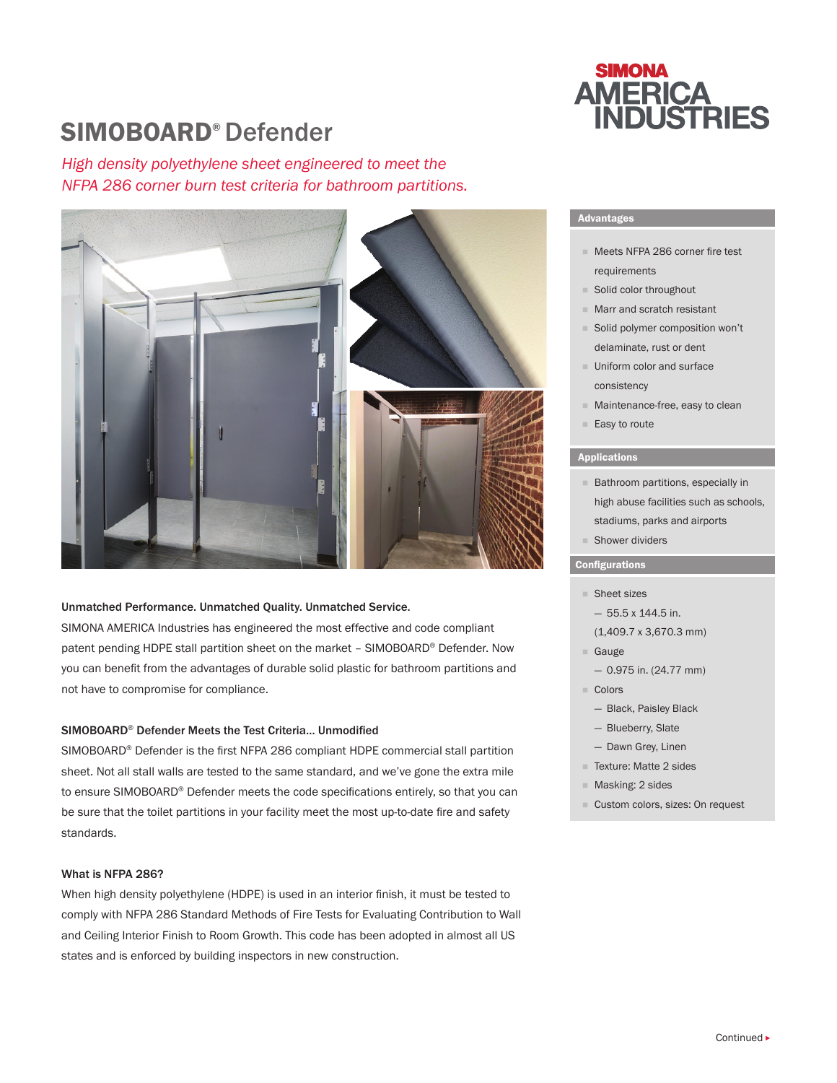## SIMOBOARD® Defender

*High density polyethylene sheet engineered to meet the NFPA 286 corner burn test criteria for bathroom partitions.*



#### Unmatched Performance. Unmatched Quality. Unmatched Service.

SIMONA AMERICA Industries has engineered the most effective and code compliant patent pending HDPE stall partition sheet on the market – SIMOBOARD® Defender. Now you can benefit from the advantages of durable solid plastic for bathroom partitions and not have to compromise for compliance.

#### SIMOBOARD® Defender Meets the Test Criteria… Unmodified

SIMOBOARD® Defender is the first NFPA 286 compliant HDPE commercial stall partition sheet. Not all stall walls are tested to the same standard, and we've gone the extra mile to ensure SIMOBOARD® Defender meets the code specifications entirely, so that you can be sure that the toilet partitions in your facility meet the most up-to-date fire and safety standards.

#### What is NFPA 286?

When high density polyethylene (HDPE) is used in an interior finish, it must be tested to comply with NFPA 286 Standard Methods of Fire Tests for Evaluating Contribution to Wall and Ceiling Interior Finish to Room Growth. This code has been adopted in almost all US states and is enforced by building inspectors in new construction.

# **SIMONA AMERICA<br>INDUSTRIES**

#### Advantages

- Meets NFPA 286 corner fire test requirements
- Solid color throughout
- **Marr and scratch resistant**
- Solid polymer composition won't delaminate, rust or dent
- **Uniform color and surface** consistency
- **Maintenance-free, easy to clean**
- Easy to route

#### Applications

- **Bathroom partitions, especially in** high abuse facilities such as schools, stadiums, parks and airports
- Shower dividers

#### **Configurations**

- Sheet sizes
- $-55.5 \times 144.5$  in.
- (1,409.7 x 3,670.3 mm)
- Gauge
- 0.975 in. (24.77 mm)
- Colors
	- Black, Paisley Black
	- Blueberry, Slate
	- Dawn Grey, Linen
- F Texture: Matte 2 sides
- Masking: 2 sides
- Custom colors, sizes: On request